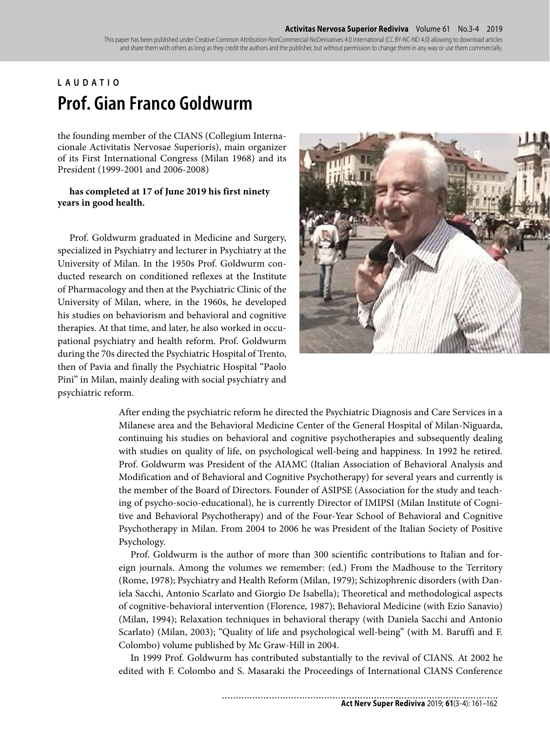This paper has been published under Creative Common Attribution-NonCommercial-NoDerivatives 4.0 International (CC BY-NC-ND 4.0) allowing to download articles and share them with others as long as they credit the authors and the publisher, but without permission to change them in any way or use them commercially.

## **LAUDATIO Prof. Gian Franco Goldwurm**

the founding member of the CIANS (Collegium Internacionale Activitatis Nervosae Superioris), main organizer of its First International Congress (Milan 1968) and its President (1999-2001 and 2006-2008)

## **has completed at 17 of June 2019 his first ninety years in good health.**

Prof. Goldwurm graduated in Medicine and Surgery, specialized in Psychiatry and lecturer in Psychiatry at the University of Milan. In the 1950s Prof. Goldwurm conducted research on conditioned reflexes at the Institute of Pharmacology and then at the Psychiatric Clinic of the University of Milan, where, in the 1960s, he developed his studies on behaviorism and behavioral and cognitive therapies. At that time, and later, he also worked in occupational psychiatry and health reform. Prof. Goldwurm during the 70s directed the Psychiatric Hospital of Trento, then of Pavia and finally the Psychiatric Hospital "Paolo Pini" in Milan, mainly dealing with social psychiatry and psychiatric reform.



After ending the psychiatric reform he directed the Psychiatric Diagnosis and Care Services in a Milanese area and the Behavioral Medicine Center of the General Hospital of Milan-Niguarda, continuing his studies on behavioral and cognitive psychotherapies and subsequently dealing with studies on quality of life, on psychological well-being and happiness. In 1992 he retired. Prof. Goldwurm was President of the AIAMC (Italian Association of Behavioral Analysis and Modification and of Behavioral and Cognitive Psychotherapy) for several years and currently is the member of the Board of Directors. Founder of ASIPSE (Association for the study and teaching of psycho-socio-educational), he is currently Director of IMIPSI (Milan Institute of Cognitive and Behavioral Psychotherapy) and of the Four-Year School of Behavioral and Cognitive Psychotherapy in Milan. From 2004 to 2006 he was President of the Italian Society of Positive Psychology.

Prof. Goldwurm is the author of more than 300 scientific contributions to Italian and foreign journals. Among the volumes we remember: (ed.) From the Madhouse to the Territory (Rome, 1978); Psychiatry and Health Reform (Milan, 1979); Schizophrenic disorders (with Daniela Sacchi, Antonio Scarlato and Giorgio De Isabella); Theoretical and methodological aspects of cognitive-behavioral intervention (Florence, 1987); Behavioral Medicine (with Ezio Sanavio) (Milan, 1994); Relaxation techniques in behavioral therapy (with Daniela Sacchi and Antonio Scarlato) (Milan, 2003); "Quality of life and psychological well-being" (with M. Baruffi and F. Colombo) volume published by Mc Graw-Hill in 2004.

In 1999 Prof. Goldwurm has contributed substantially to the revival of CIANS. At 2002 he edited with F. Colombo and S. Masaraki the Proceedings of International CIANS Conference